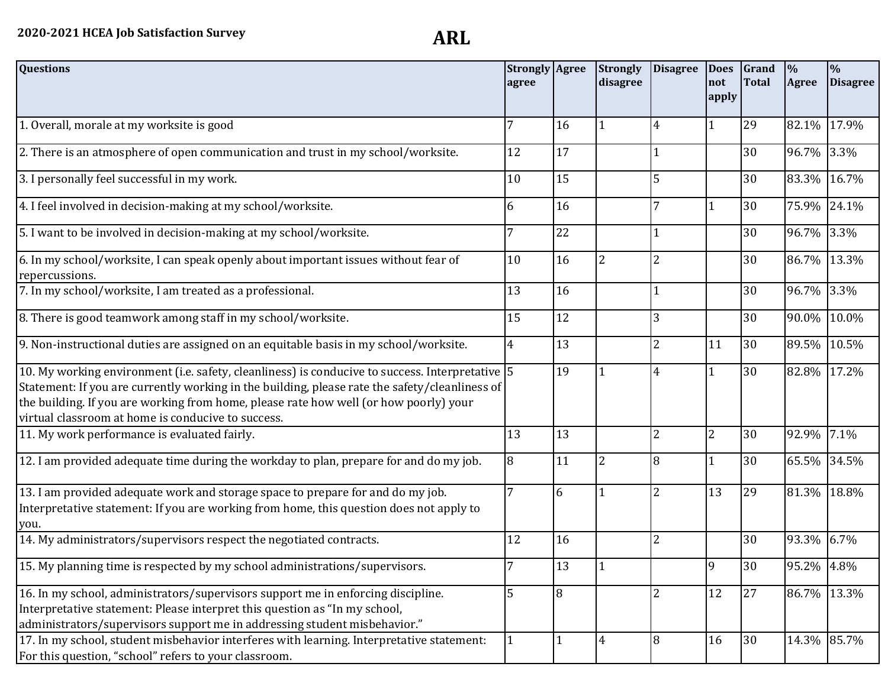| <b>Questions</b>                                                                                                                                                                                                                                                                                                                                 | <b>Strongly Agree</b><br>agree |    | Strongly<br>disagree | <b>Disagree</b> | <b>Does</b><br>not<br>apply | Grand<br><b>Total</b> | $\frac{1}{2}$<br>Agree | $\frac{0}{0}$<br><b>Disagree</b> |
|--------------------------------------------------------------------------------------------------------------------------------------------------------------------------------------------------------------------------------------------------------------------------------------------------------------------------------------------------|--------------------------------|----|----------------------|-----------------|-----------------------------|-----------------------|------------------------|----------------------------------|
| 1. Overall, morale at my worksite is good                                                                                                                                                                                                                                                                                                        | 7                              | 16 |                      | 4               | 1                           | 29                    | 82.1%                  | 17.9%                            |
| 2. There is an atmosphere of open communication and trust in my school/worksite.                                                                                                                                                                                                                                                                 | 12                             | 17 |                      |                 |                             | 30                    | 96.7%                  | 3.3%                             |
| 3. I personally feel successful in my work.                                                                                                                                                                                                                                                                                                      | 10                             | 15 |                      | 5               |                             | 30                    | 83.3%                  | 16.7%                            |
| 4. I feel involved in decision-making at my school/worksite.                                                                                                                                                                                                                                                                                     | 6                              | 16 |                      | 7               | $\mathbf{1}$                | 30                    | 75.9%                  | 24.1%                            |
| 5. I want to be involved in decision-making at my school/worksite.                                                                                                                                                                                                                                                                               | 7                              | 22 |                      | $\vert$ 1       |                             | 30                    | 96.7%                  | 3.3%                             |
| 6. In my school/worksite, I can speak openly about important issues without fear of<br>repercussions.                                                                                                                                                                                                                                            | 10                             | 16 | $\overline{2}$       | $\overline{2}$  |                             | 30                    | 86.7%                  | 13.3%                            |
| 7. In my school/worksite, I am treated as a professional.                                                                                                                                                                                                                                                                                        | 13                             | 16 |                      | $\overline{1}$  |                             | 30                    | 96.7%                  | 3.3%                             |
| 8. There is good teamwork among staff in my school/worksite.                                                                                                                                                                                                                                                                                     | 15                             | 12 |                      | 3               |                             | 30                    | 90.0%                  | 10.0%                            |
| 9. Non-instructional duties are assigned on an equitable basis in my school/worksite.                                                                                                                                                                                                                                                            | $\overline{4}$                 | 13 |                      | $\overline{2}$  | 11                          | 30                    | 89.5%                  | 10.5%                            |
| 10. My working environment (i.e. safety, cleanliness) is conducive to success. Interpretative 5<br>Statement: If you are currently working in the building, please rate the safety/cleanliness of<br>the building. If you are working from home, please rate how well (or how poorly) your<br>virtual classroom at home is conducive to success. |                                | 19 | 1                    | $\overline{4}$  | $\mathbf{1}$                | 30                    | 82.8%                  | 17.2%                            |
| 11. My work performance is evaluated fairly.                                                                                                                                                                                                                                                                                                     | 13                             | 13 |                      | $\overline{2}$  | $\overline{2}$              | 30                    | 92.9%                  | 7.1%                             |
| 12. I am provided adequate time during the workday to plan, prepare for and do my job.                                                                                                                                                                                                                                                           | 8                              | 11 | $\overline{2}$       | 8               | 1                           | 30                    | 65.5%                  | 34.5%                            |
| 13. I am provided adequate work and storage space to prepare for and do my job.<br>Interpretative statement: If you are working from home, this question does not apply to<br>you.                                                                                                                                                               | 7                              | 6  | 1                    | $\overline{2}$  | 13                          | 29                    | 81.3%                  | 18.8%                            |
| 14. My administrators/supervisors respect the negotiated contracts.                                                                                                                                                                                                                                                                              | 12                             | 16 |                      | $\overline{2}$  |                             | 30                    | 93.3%                  | 6.7%                             |
| 15. My planning time is respected by my school administrations/supervisors.                                                                                                                                                                                                                                                                      |                                | 13 |                      |                 | 9                           | 30                    | 95.2% 4.8%             |                                  |
| 16. In my school, administrators/supervisors support me in enforcing discipline.<br>Interpretative statement: Please interpret this question as "In my school,<br>administrators/supervisors support me in addressing student misbehavior."                                                                                                      | 5                              | 8  |                      | $\overline{2}$  | 12                          | 27                    | 86.7%                  | 13.3%                            |
| 17. In my school, student misbehavior interferes with learning. Interpretative statement:<br>For this question, "school" refers to your classroom.                                                                                                                                                                                               |                                | 1  | $\overline{4}$       | 8               | 16                          | 30                    |                        | 14.3% 85.7%                      |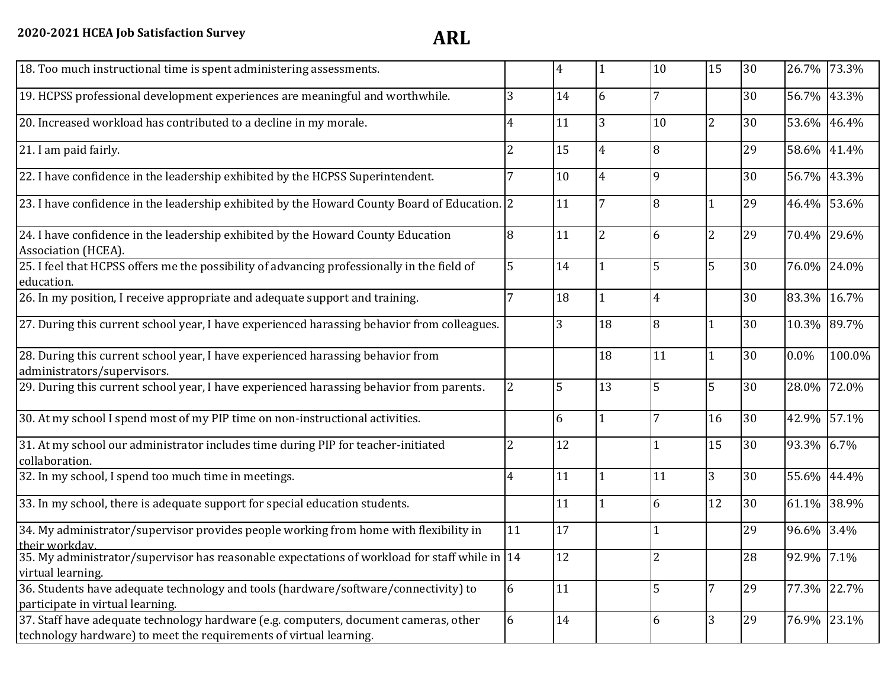| 18. Too much instructional time is spent administering assessments.                                                                                        |                | $\overline{4}$ |                | 10             | 15             | 30 |            | 26.7% 73.3% |
|------------------------------------------------------------------------------------------------------------------------------------------------------------|----------------|----------------|----------------|----------------|----------------|----|------------|-------------|
| 19. HCPSS professional development experiences are meaningful and worthwhile.                                                                              | 3              | 14             | 6              |                |                | 30 | 56.7%      | 43.3%       |
| 20. Increased workload has contributed to a decline in my morale.                                                                                          |                | 11             | 3              | 10             | $\overline{2}$ | 30 | 53.6%      | 46.4%       |
| 21. I am paid fairly.                                                                                                                                      | 2              | 15             | 4              | 8              |                | 29 | 58.6%      | 41.4%       |
| 22. I have confidence in the leadership exhibited by the HCPSS Superintendent.                                                                             |                | 10             | 4              | 9              |                | 30 | 56.7%      | 43.3%       |
| 23. I have confidence in the leadership exhibited by the Howard County Board of Education. 2                                                               |                | 11             |                | 8              | 1              | 29 | 46.4%      | 53.6%       |
| 24. I have confidence in the leadership exhibited by the Howard County Education<br>Association (HCEA).                                                    | 8              | 11             | $\overline{c}$ | 6              | $\overline{2}$ | 29 | 70.4%      | 29.6%       |
| 25. I feel that HCPSS offers me the possibility of advancing professionally in the field of<br>education.                                                  | 5              | 14             |                | 5              | 5              | 30 | 76.0%      | 24.0%       |
| 26. In my position, I receive appropriate and adequate support and training.                                                                               |                | 18             | 1              | 4              |                | 30 | 83.3%      | 16.7%       |
| 27. During this current school year, I have experienced harassing behavior from colleagues.                                                                |                | 3              | 18             | 8              | 1              | 30 | 10.3%      | 89.7%       |
| 28. During this current school year, I have experienced harassing behavior from<br>administrators/supervisors.                                             |                |                | 18             | 11             | 1              | 30 | $0.0\%$    | 100.0%      |
| 29. During this current school year, I have experienced harassing behavior from parents.                                                                   | $\overline{2}$ | 5              | 13             | 5              | 5              | 30 | 28.0%      | 72.0%       |
| 30. At my school I spend most of my PIP time on non-instructional activities.                                                                              |                | 6              | 1              |                | 16             | 30 | 42.9%      | 57.1%       |
| 31. At my school our administrator includes time during PIP for teacher-initiated<br>collaboration.                                                        | $\overline{2}$ | 12             |                | 1              | 15             | 30 | 93.3%      | 6.7%        |
| 32. In my school, I spend too much time in meetings.                                                                                                       | $\overline{4}$ | 11             |                | 11             | 3              | 30 | 55.6%      | 44.4%       |
| 33. In my school, there is adequate support for special education students.                                                                                |                | 11             |                | 6              | 12             | 30 | 61.1%      | 38.9%       |
| 34. My administrator/supervisor provides people working from home with flexibility in<br>their workday                                                     | 11             | 17             |                | $\mathbf{1}$   |                | 29 | 96.6%      | 3.4%        |
| 35. My administrator/supervisor has reasonable expectations of workload for staff while in $ 14 $<br>virtual learning.                                     |                | 12             |                | $\overline{2}$ |                | 28 | 92.9% 7.1% |             |
| 36. Students have adequate technology and tools (hardware/software/connectivity) to<br>participate in virtual learning.                                    | 6              | 11             |                | 5              | 7              | 29 | 77.3%      | 22.7%       |
| 37. Staff have adequate technology hardware (e.g. computers, document cameras, other<br>technology hardware) to meet the requirements of virtual learning. | 6              | 14             |                | 6              | $\overline{3}$ | 29 | 76.9%      | 23.1%       |